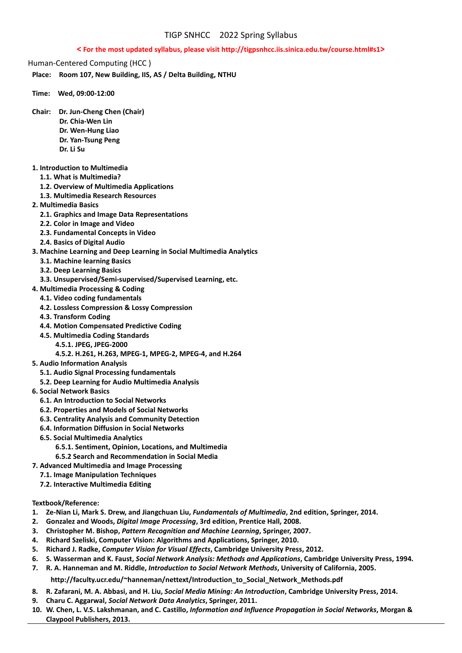## **< For the most updated syllabus, please visit http://tigpsnhcc.iis.sinica.edu.tw/course.html#s1>**

Human-Centered Computing (HCC )

**Place: Room 107, New Building, IIS, AS / Delta Building, NTHU** 

**Time: Wed, 09:00-12:00**

**Chair: Dr. Jun-Cheng Chen (Chair)**

- **Dr. Chia-Wen Lin**
- **Dr. Wen-Hung Liao**
- **Dr. Yan-Tsung Peng**
- **Dr. Li Su**
- **1. Introduction to Multimedia**
	- **1.1. What is Multimedia?**
	- **1.2. Overview of Multimedia Applications**
	- **1.3. Multimedia Research Resources**
- **2. Multimedia Basics**
	- **2.1. Graphics and Image Data Representations**
	- **2.2. Color in Image and Video**
	- **2.3. Fundamental Concepts in Video**
	- **2.4. Basics of Digital Audio**
- **3. Machine Learning and Deep Learning in Social Multimedia Analytics**
	- **3.1. Machine learning Basics**
	- **3.2. Deep Learning Basics**
	- **3.3. Unsupervised/Semi-supervised/Supervised Learning, etc.**
- **4. Multimedia Processing & Coding**
	- **4.1. Video coding fundamentals**
	- **4.2. Lossless Compression & Lossy Compression**
	- **4.3. Transform Coding**
	- **4.4. Motion Compensated Predictive Coding**
	- **4.5. Multimedia Coding Standards**
		- **4.5.1. JPEG, JPEG-2000**
		- **4.5.2. H.261, H.263, MPEG-1, MPEG-2, MPEG-4, and H.264**
- **5. Audio Information Analysis**
	- **5.1. Audio Signal Processing fundamentals**
	- **5.2. Deep Learning for Audio Multimedia Analysis**
- **6. Social Network Basics**
	- **6.1. An Introduction to Social Networks**
	- **6.2. Properties and Models of Social Networks**
	- **6.3. Centrality Analysis and Community Detection**
	- **6.4. Information Diffusion in Social Networks**
	- **6.5. Social Multimedia Analytics**
		- **6.5.1. Sentiment, Opinion, Locations, and Multimedia**
		- **6.5.2 Search and Recommendation in Social Media**
- **7. Advanced Multimedia and Image Processing**
	- **7.1. Image Manipulation Techniques**
	- **7.2. Interactive Multimedia Editing**

## **Textbook/Reference:**

- **1. Ze-Nian Li, Mark S. Drew, and Jiangchuan Liu,** *Fundamentals of Multimedia***, 2nd edition, Springer, 2014.**
- **2. Gonzalez and Woods,** *Digital Image Processing***, 3rd edition, Prentice Hall, 2008.**
- **3. Christopher M. Bishop,** *Pattern Recognition and Machine Learning***, Springer, 2007.**
- **4. Richard Szeliski, Computer Vision: Algorithms and Applications, Springer, 2010.**
- **5. Richard J. Radke,** *Computer Vision for Visual Effects***, Cambridge University Press, 2012.**
- **6. S. Wasserman and K. Faust,** *Social Network Analysis: Methods and Applications***, Cambridge University Press, 1994.**
- **7. R. A. Hanneman and M. Riddle,** *Introduction to Social Network Methods***, University of California, 2005.**

## **[http://faculty.ucr.edu/~hanneman/nettext/Introduction\\_to\\_Social\\_Network\\_Methods.pdf](http://faculty.ucr.edu/%7Ehanneman/nettext/Introduction_to_Social_Network_Methods.pdf)**

- **8. R. Zafarani, M. A. Abbasi, and H. Liu,** *Social Media Mining: An Introduction***, Cambridge University Press, 2014.**
- **9. Charu C. Aggarwal,** *Social Network Data Analytics***, Springer, 2011.**
- **10. W. Chen, L. V.S. Lakshmanan, and C. Castillo,** *Information and Influence Propagation in Social Networks***, Morgan & Claypool Publishers, 2013.**